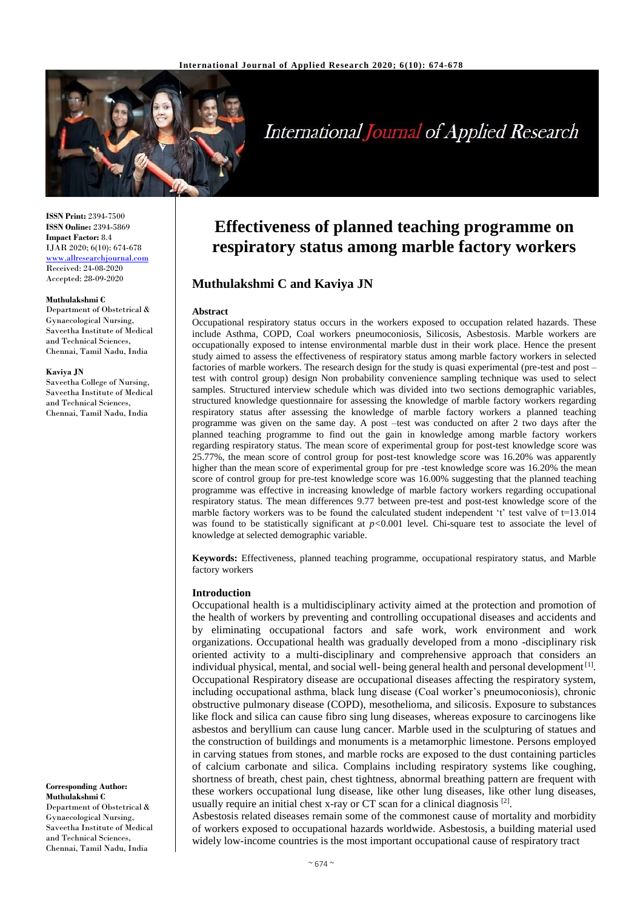

# **International Journal of Applied Research**

**ISSN Print:** 2394-7500 **ISSN Online:** 2394-5869 **Impact Factor:** 8.4 IJAR 2020; 6(10): 674-678 <www.allresearchjournal.com> Received: 24-08-2020 Accepted: 28-09-2020

#### **Muthulakshmi C**

Department of Obstetrical & Gynaecological Nursing, Saveetha Institute of Medical and Technical Sciences, Chennai, Tamil Nadu, India

#### **Kaviya JN**

Saveetha College of Nursing, Saveetha Institute of Medical and Technical Sciences, Chennai, Tamil Nadu, India

# **Effectiveness of planned teaching programme on**

**respiratory status among marble factory workers**

# **Muthulakshmi C and Kaviya JN**

#### **Abstract**

Occupational respiratory status occurs in the workers exposed to occupation related hazards. These include Asthma, COPD, Coal workers pneumoconiosis, Silicosis, Asbestosis. Marble workers are occupationally exposed to intense environmental marble dust in their work place. Hence the present study aimed to assess the effectiveness of respiratory status among marble factory workers in selected factories of marble workers. The research design for the study is quasi experimental (pre-test and post – test with control group) design Non probability convenience sampling technique was used to select samples. Structured interview schedule which was divided into two sections demographic variables, structured knowledge questionnaire for assessing the knowledge of marble factory workers regarding respiratory status after assessing the knowledge of marble factory workers a planned teaching programme was given on the same day. A post –test was conducted on after 2 two days after the planned teaching programme to find out the gain in knowledge among marble factory workers regarding respiratory status. The mean score of experimental group for post-test knowledge score was 25.77%, the mean score of control group for post-test knowledge score was 16.20% was apparently higher than the mean score of experimental group for pre-test knowledge score was 16.20% the mean score of control group for pre-test knowledge score was 16.00% suggesting that the planned teaching programme was effective in increasing knowledge of marble factory workers regarding occupational respiratory status. The mean differences 9.77 between pre-test and post-test knowledge score of the marble factory workers was to be found the calculated student independent 't' test valve of  $t=13.014$ was found to be statistically significant at *p<*0.001 level. Chi-square test to associate the level of knowledge at selected demographic variable.

**Keywords:** Effectiveness, planned teaching programme, occupational respiratory status, and Marble factory workers

#### **Introduction**

Occupational health is a multidisciplinary activity aimed at the protection and promotion of the health of workers by preventing and controlling occupational diseases and accidents and by eliminating occupational factors and safe work, work environment and work organizations. Occupational health was gradually developed from a mono -disciplinary risk oriented activity to a multi-disciplinary and comprehensive approach that considers an individual physical, mental, and social well-being general health and personal development<sup>[1]</sup>. Occupational Respiratory disease are occupational diseases affecting the respiratory system, including occupational asthma, black lung disease (Coal worker's pneumoconiosis), chronic obstructive pulmonary disease (COPD), mesothelioma, and silicosis. Exposure to substances like flock and silica can cause fibro sing lung diseases, whereas exposure to carcinogens like asbestos and beryllium can cause lung cancer. Marble used in the sculpturing of statues and the construction of buildings and monuments is a metamorphic limestone. Persons employed in carving statues from stones, and marble rocks are exposed to the dust containing particles of calcium carbonate and silica. Complains including respiratory systems like coughing, shortness of breath, chest pain, chest tightness, abnormal breathing pattern are frequent with these workers occupational lung disease, like other lung diseases, like other lung diseases, usually require an initial chest x-ray or CT scan for a clinical diagnosis  $^{[2]}$ .

Asbestosis related diseases remain some of the commonest cause of mortality and morbidity of workers exposed to occupational hazards worldwide. Asbestosis, a building material used widely low-income countries is the most important occupational cause of respiratory tract

**Corresponding Author: Muthulakshmi C** Department of Obstetrical & Gynaecological Nursing, Saveetha Institute of Medical and Technical Sciences, Chennai, Tamil Nadu, India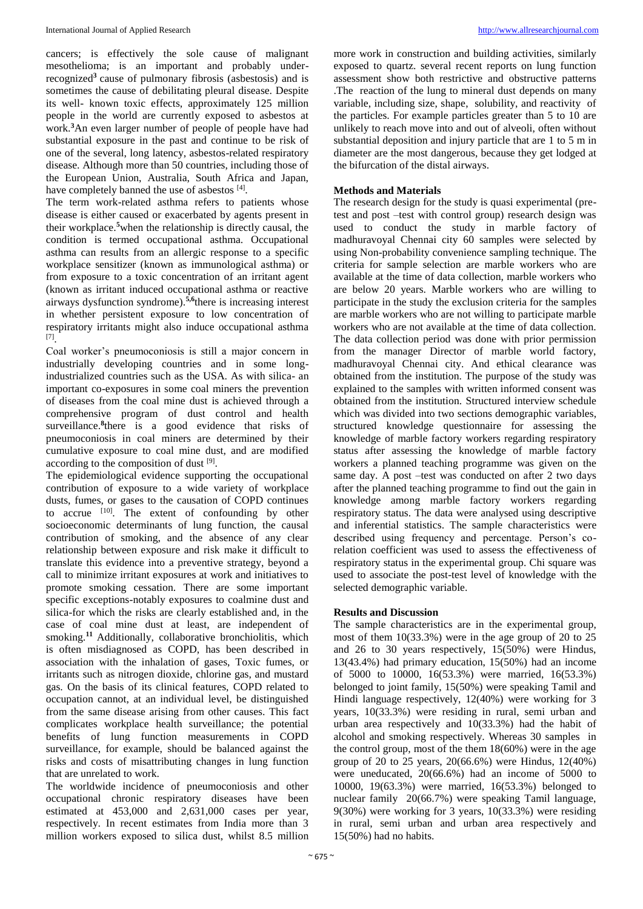cancers; is effectively the sole cause of malignant mesothelioma; is an important and probably underrecognized**<sup>3</sup>**cause of pulmonary fibrosis (asbestosis) and is sometimes the cause of debilitating pleural disease. Despite its well- known toxic effects, approximately 125 million people in the world are currently exposed to asbestos at work.**<sup>3</sup>**An even larger number of people of people have had substantial exposure in the past and continue to be risk of one of the several, long latency, asbestos-related respiratory disease. Although more than 50 countries, including those of the European Union, Australia, South Africa and Japan, have completely banned the use of asbestos [4].

The term work-related asthma refers to patients whose disease is either caused or exacerbated by agents present in their workplace.**<sup>5</sup>**when the relationship is directly causal, the condition is termed occupational asthma. Occupational asthma can results from an allergic response to a specific workplace sensitizer (known as immunological asthma) or from exposure to a toxic concentration of an irritant agent (known as irritant induced occupational asthma or reactive airways dysfunction syndrome).**5,6**there is increasing interest in whether persistent exposure to low concentration of respiratory irritants might also induce occupational asthma [7] .

Coal worker's pneumoconiosis is still a major concern in industrially developing countries and in some longindustrialized countries such as the USA. As with silica- an important co-exposures in some coal miners the prevention of diseases from the coal mine dust is achieved through a comprehensive program of dust control and health surveillance.<sup>8</sup> there is a good evidence that risks of pneumoconiosis in coal miners are determined by their cumulative exposure to coal mine dust, and are modified according to the composition of dust  $[9]$ .

The epidemiological evidence supporting the occupational contribution of exposure to a wide variety of workplace dusts, fumes, or gases to the causation of COPD continues to accrue  $[10]$ . The extent of confounding by other socioeconomic determinants of lung function, the causal contribution of smoking, and the absence of any clear relationship between exposure and risk make it difficult to translate this evidence into a preventive strategy, beyond a call to minimize irritant exposures at work and initiatives to promote smoking cessation. There are some important specific exceptions-notably exposures to coalmine dust and silica-for which the risks are clearly established and, in the case of coal mine dust at least, are independent of smoking.<sup>11</sup> Additionally, collaborative bronchiolitis, which is often misdiagnosed as COPD, has been described in association with the inhalation of gases, Toxic fumes, or irritants such as nitrogen dioxide, chlorine gas, and mustard gas. On the basis of its clinical features, COPD related to occupation cannot, at an individual level, be distinguished from the same disease arising from other causes. This fact complicates workplace health surveillance; the potential benefits of lung function measurements in COPD surveillance, for example, should be balanced against the risks and costs of misattributing changes in lung function that are unrelated to work.

The worldwide incidence of pneumoconiosis and other occupational chronic respiratory diseases have been estimated at 453,000 and 2,631,000 cases per year, respectively. In recent estimates from India more than 3 million workers exposed to silica dust, whilst 8.5 million

more work in construction and building activities, similarly exposed to quartz. several recent reports on lung function assessment show both restrictive and obstructive patterns .The reaction of the lung to mineral dust depends on many variable, including size, shape, solubility, and reactivity of the particles. For example particles greater than 5 to 10 are unlikely to reach move into and out of alveoli, often without substantial deposition and injury particle that are 1 to 5 m in diameter are the most dangerous, because they get lodged at the bifurcation of the distal airways.

# **Methods and Materials**

The research design for the study is quasi experimental (pretest and post –test with control group) research design was used to conduct the study in marble factory of madhuravoyal Chennai city 60 samples were selected by using Non-probability convenience sampling technique. The criteria for sample selection are marble workers who are available at the time of data collection, marble workers who are below 20 years. Marble workers who are willing to participate in the study the exclusion criteria for the samples are marble workers who are not willing to participate marble workers who are not available at the time of data collection. The data collection period was done with prior permission from the manager Director of marble world factory, madhuravoyal Chennai city. And ethical clearance was obtained from the institution. The purpose of the study was explained to the samples with written informed consent was obtained from the institution. Structured interview schedule which was divided into two sections demographic variables, structured knowledge questionnaire for assessing the knowledge of marble factory workers regarding respiratory status after assessing the knowledge of marble factory workers a planned teaching programme was given on the same day. A post –test was conducted on after 2 two days after the planned teaching programme to find out the gain in knowledge among marble factory workers regarding respiratory status. The data were analysed using descriptive and inferential statistics. The sample characteristics were described using frequency and percentage. Person's corelation coefficient was used to assess the effectiveness of respiratory status in the experimental group. Chi square was used to associate the post-test level of knowledge with the selected demographic variable.

# **Results and Discussion**

The sample characteristics are in the experimental group, most of them 10(33.3%) were in the age group of 20 to 25 and 26 to 30 years respectively, 15(50%) were Hindus, 13(43.4%) had primary education, 15(50%) had an income of 5000 to 10000, 16(53.3%) were married, 16(53.3%) belonged to joint family, 15(50%) were speaking Tamil and Hindi language respectively, 12(40%) were working for 3 years, 10(33.3%) were residing in rural, semi urban and urban area respectively and 10(33.3%) had the habit of alcohol and smoking respectively. Whereas 30 samples in the control group, most of the them 18(60%) were in the age group of 20 to 25 years, 20(66.6%) were Hindus, 12(40%) were uneducated, 20(66.6%) had an income of 5000 to 10000, 19(63.3%) were married, 16(53.3%) belonged to nuclear family 20(66.7%) were speaking Tamil language, 9(30%) were working for 3 years, 10(33.3%) were residing in rural, semi urban and urban area respectively and 15(50%) had no habits.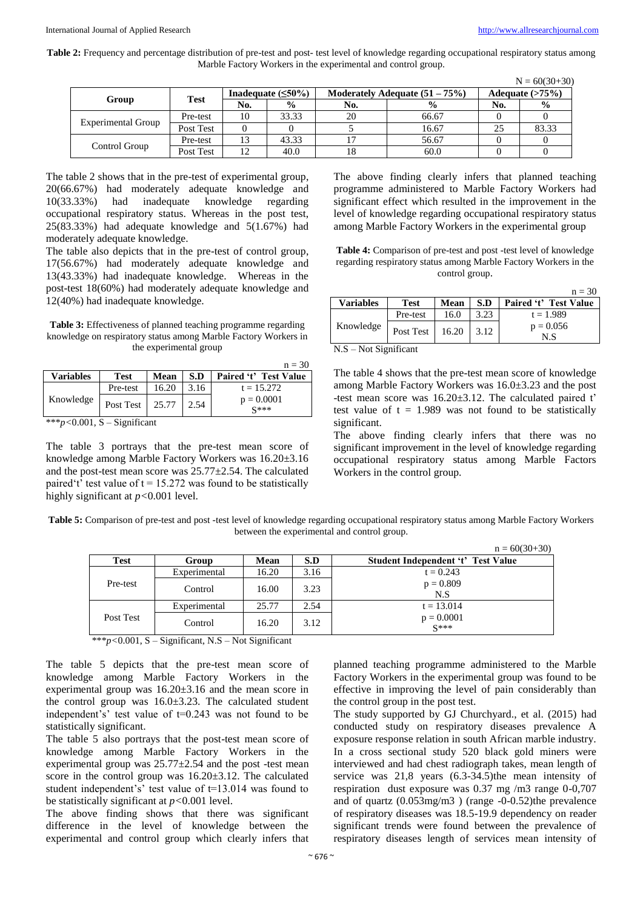Table 2: Frequency and percentage distribution of pre-test and post- test level of knowledge regarding occupational respiratory status among Marble Factory Workers in the experimental and control group.

|                    |             |                          |               |                                  |               |                   | $N = 60(30+30)$ |
|--------------------|-------------|--------------------------|---------------|----------------------------------|---------------|-------------------|-----------------|
| Group              | <b>Test</b> | Inadequate $(\leq 50\%)$ |               | Moderately Adequate $(51 – 75%)$ |               | Adequate $(>75%)$ |                 |
|                    |             | No.                      | $\frac{0}{0}$ | No.                              | $\frac{0}{0}$ | No.               | $\frac{6}{9}$   |
| Experimental Group | Pre-test    | 10                       | 33.33         | 20                               | 66.67         |                   |                 |
|                    | Post Test   |                          |               |                                  | 16.67         | 25                | 83.33           |
| Control Group      | Pre-test    | 13                       | 43.33         |                                  | 56.67         |                   |                 |
|                    | Post Test   | 12                       | 40.0          | 18                               | 60.0          |                   |                 |

The table 2 shows that in the pre-test of experimental group, 20(66.67%) had moderately adequate knowledge and 10(33.33%) had inadequate knowledge regarding occupational respiratory status. Whereas in the post test, 25(83.33%) had adequate knowledge and 5(1.67%) had moderately adequate knowledge.

The table also depicts that in the pre-test of control group, 17(56.67%) had moderately adequate knowledge and 13(43.33%) had inadequate knowledge. Whereas in the post-test 18(60%) had moderately adequate knowledge and 12(40%) had inadequate knowledge.

**Table 3:** Effectiveness of planned teaching programme regarding knowledge on respiratory status among Marble Factory Workers in the experimental group

|                  |             |       |      | $n = 30$                         |  |
|------------------|-------------|-------|------|----------------------------------|--|
| <b>Variables</b> | <b>Test</b> | Mean  | S.D  | Paired 't' Test Value            |  |
| Knowledge        | Pre-test    | 16.20 | 3.16 | $t = 15.272$                     |  |
|                  | Post Test   | 25.77 | 2.54 | $p = 0.0001$<br>$\mathbb{C}$ *** |  |

\*\*\**p<*0.001, S – Significant

The table 3 portrays that the pre-test mean score of knowledge among Marble Factory Workers was 16.20±3.16 and the post-test mean score was 25.77±2.54. The calculated paired't' test value of  $t = 15.272$  was found to be statistically highly significant at *p<*0.001 level.

The above finding clearly infers that planned teaching programme administered to Marble Factory Workers had significant effect which resulted in the improvement in the level of knowledge regarding occupational respiratory status among Marble Factory Workers in the experimental group

**Table 4:** Comparison of pre-test and post -test level of knowledge regarding respiratory status among Marble Factory Workers in the control group.

|                  |           |       |      | $n = 30$              |  |
|------------------|-----------|-------|------|-----------------------|--|
| <b>Variables</b> | Test      | Mean  | S.D  | Paired 't' Test Value |  |
| Knowledge        | Pre-test  | 16.0  | 3.23 | $t = 1.989$           |  |
|                  | Post Test | 16.20 | 3.12 | $p = 0.056$<br>N.S    |  |

N.S – Not Significant

The table 4 shows that the pre-test mean score of knowledge among Marble Factory Workers was 16.0±3.23 and the post -test mean score was 16.20±3.12. The calculated paired t' test value of  $t = 1.989$  was not found to be statistically significant.

The above finding clearly infers that there was no significant improvement in the level of knowledge regarding occupational respiratory status among Marble Factors Workers in the control group.

| Table 5: Comparison of pre-test and post -test level of knowledge regarding occupational respiratory status among Marble Factory Workers |
|------------------------------------------------------------------------------------------------------------------------------------------|
| between the experimental and control group.                                                                                              |

|           |              |       |      | $n = 60(30+30)$                           |
|-----------|--------------|-------|------|-------------------------------------------|
| Test      | Group        | Mean  | S.D  | <b>Student Independent 't' Test Value</b> |
|           | Experimental | 16.20 | 3.16 | $t = 0.243$                               |
| Pre-test  | Control      | 16.00 | 3.23 | $p = 0.809$<br>N.S                        |
|           | Experimental | 25.77 | 2.54 | $t = 13.014$                              |
| Post Test | Control      | 16.20 | 3.12 | $p = 0.0001$<br>$S***$                    |

\*\*\**p<*0.001, S – Significant, N.S – Not Significant

The table 5 depicts that the pre-test mean score of knowledge among Marble Factory Workers in the experimental group was 16.20±3.16 and the mean score in the control group was 16.0±3.23. The calculated student independent's' test value of t=0.243 was not found to be statistically significant.

The table 5 also portrays that the post-test mean score of knowledge among Marble Factory Workers in the experimental group was  $25.77 \pm 2.54$  and the post -test mean score in the control group was 16.20±3.12. The calculated student independent's' test value of t=13.014 was found to be statistically significant at *p<*0.001 level.

The above finding shows that there was significant difference in the level of knowledge between the experimental and control group which clearly infers that

planned teaching programme administered to the Marble Factory Workers in the experimental group was found to be effective in improving the level of pain considerably than the control group in the post test.

The study supported by GJ Churchyard., et al. (2015) had conducted study on respiratory diseases prevalence A exposure response relation in south African marble industry. In a cross sectional study 520 black gold miners were interviewed and had chest radiograph takes, mean length of service was 21,8 years (6.3-34.5)the mean intensity of respiration dust exposure was 0.37 mg /m3 range 0-0,707 and of quartz (0.053mg/m3 ) (range -0-0.52)the prevalence of respiratory diseases was 18.5-19.9 dependency on reader significant trends were found between the prevalence of respiratory diseases length of services mean intensity of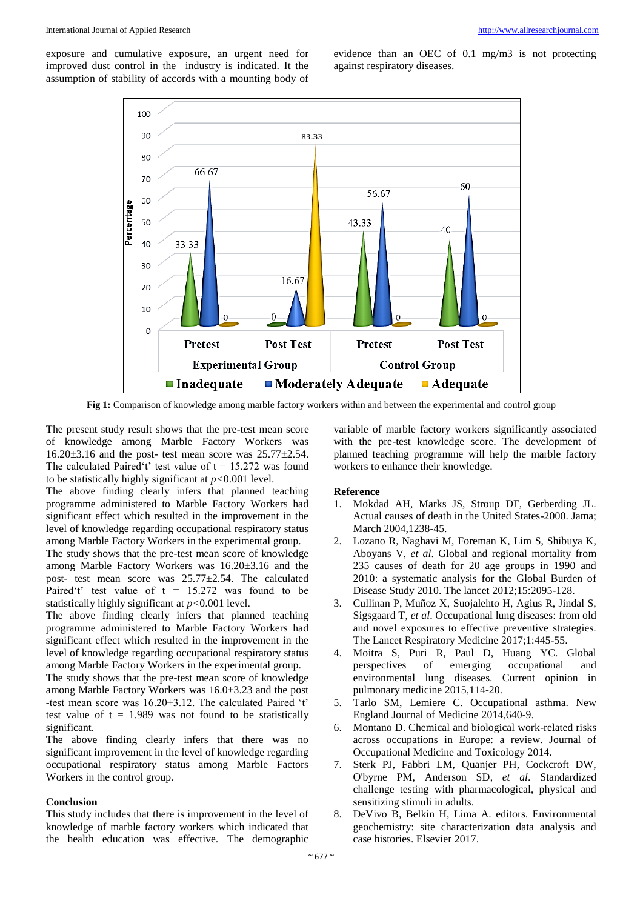exposure and cumulative exposure, an urgent need for improved dust control in the industry is indicated. It the assumption of stability of accords with a mounting body of evidence than an OEC of 0.1 mg/m3 is not protecting against respiratory diseases.



**Fig 1:** Comparison of knowledge among marble factory workers within and between the experimental and control group

The present study result shows that the pre-test mean score of knowledge among Marble Factory Workers was  $16.20\pm3.16$  and the post- test mean score was  $25.77\pm2.54$ . The calculated Paired't' test value of  $t = 15.272$  was found to be statistically highly significant at *p<*0.001 level.

The above finding clearly infers that planned teaching programme administered to Marble Factory Workers had significant effect which resulted in the improvement in the level of knowledge regarding occupational respiratory status among Marble Factory Workers in the experimental group.

The study shows that the pre-test mean score of knowledge among Marble Factory Workers was 16.20±3.16 and the post- test mean score was 25.77±2.54. The calculated Paired't' test value of  $t = 15.272$  was found to be statistically highly significant at *p<*0.001 level.

The above finding clearly infers that planned teaching programme administered to Marble Factory Workers had significant effect which resulted in the improvement in the level of knowledge regarding occupational respiratory status among Marble Factory Workers in the experimental group.

The study shows that the pre-test mean score of knowledge among Marble Factory Workers was 16.0±3.23 and the post -test mean score was 16.20±3.12. The calculated Paired 't' test value of  $t = 1.989$  was not found to be statistically significant.

The above finding clearly infers that there was no significant improvement in the level of knowledge regarding occupational respiratory status among Marble Factors Workers in the control group.

### **Conclusion**

This study includes that there is improvement in the level of knowledge of marble factory workers which indicated that the health education was effective. The demographic

variable of marble factory workers significantly associated with the pre-test knowledge score. The development of planned teaching programme will help the marble factory workers to enhance their knowledge.

# **Reference**

- 1. Mokdad AH, Marks JS, Stroup DF, Gerberding JL. Actual causes of death in the United States-2000. Jama; March 2004,1238-45.
- 2. Lozano R, Naghavi M, Foreman K, Lim S, Shibuya K, Aboyans V, *et al*. Global and regional mortality from 235 causes of death for 20 age groups in 1990 and 2010: a systematic analysis for the Global Burden of Disease Study 2010. The lancet 2012;15:2095-128.
- 3. Cullinan P, Muñoz X, Suojalehto H, Agius R, Jindal S, Sigsgaard T, *et al*. Occupational lung diseases: from old and novel exposures to effective preventive strategies. The Lancet Respiratory Medicine 2017;1:445-55.
- 4. Moitra S, Puri R, Paul D, Huang YC. Global perspectives of emerging occupational and environmental lung diseases. Current opinion in pulmonary medicine 2015,114-20.
- 5. Tarlo SM, Lemiere C. Occupational asthma. New England Journal of Medicine 2014,640-9.
- 6. Montano D. Chemical and biological work-related risks across occupations in Europe: a review. Journal of Occupational Medicine and Toxicology 2014.
- 7. Sterk PJ, Fabbri LM, Quanjer PH, Cockcroft DW, O'byrne PM, Anderson SD, *et al*. Standardized challenge testing with pharmacological, physical and sensitizing stimuli in adults.
- 8. DeVivo B, Belkin H, Lima A. editors. Environmental geochemistry: site characterization data analysis and case histories. Elsevier 2017.